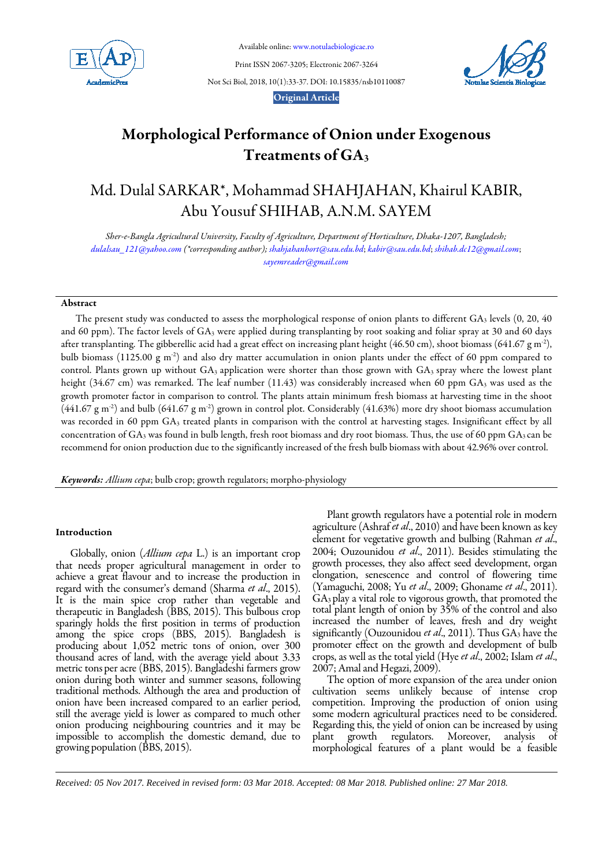

Available online[: www.notulaebiologicae.ro](http://www.notulaebiologicae.ro/index.php/nsb)

Print ISSN 2067-3205; Electronic 2067-3264

Not Sci Biol, 2018, 10(1):33-37. DOI: 10.15835/nsb10110087



# Original Article

# Morphological Performance of Onion under Exogenous Treatments of GA3

# Md. Dulal SARKAR\*, Mohammad SHAHJAHAN, Khairul KABIR, Abu Yousuf SHIHAB, A.N.M. SAYEM

*Sher-e-Bangla Agricultural University, Faculty of Agriculture, Department of Horticulture, Dhaka-1207, Bangladesh; [dulalsau\\_121@yahoo.com](mailto:dulalsau_121@yahoo.com) (\*corresponding author); shahjahanhort@sau.edu.bd*; *kabir@sau.edu.bd*; *[shihab.dc12@gmail.com](mailto:shihab.dc12@gmail.com)*; *[sayemreader@gmail.com](mailto:sayemreader@gmail.com)*

# Abstract

The present study was conducted to assess the morphological response of onion plants to different  $GA_3$  levels  $(0, 20, 40)$ and 60 ppm). The factor levels of GA3 were applied during transplanting by root soaking and foliar spray at 30 and 60 days after transplanting. The gibberellic acid had a great effect on increasing plant height (46.50 cm), shoot biomass (641.67 g m<sup>-2</sup>), bulb biomass (1125.00 g m<sup>-2</sup>) and also dry matter accumulation in onion plants under the effect of 60 ppm compared to control. Plants grown up without  $GA_3$  application were shorter than those grown with  $GA_3$  spray where the lowest plant height (34.67 cm) was remarked. The leaf number (11.43) was considerably increased when 60 ppm GA<sub>3</sub> was used as the growth promoter factor in comparison to control. The plants attain minimum fresh biomass at harvesting time in the shoot  $(441.67 \text{ g m}^2)$  and bulb  $(641.67 \text{ g m}^2)$  grown in control plot. Considerably  $(41.63%)$  more dry shoot biomass accumulation was recorded in 60 ppm GA3 treated plants in comparison with the control at harvesting stages. Insignificant effect by all concentration of  $GA_3$  was found in bulb length, fresh root biomass and dry root biomass. Thus, the use of 60 ppm  $GA_3$  can be recommend for onion production due to the significantly increased of the fresh bulb biomass with about 42.96% over control.

*Keywords: Allium cepa*; bulb crop; growth regulators; morpho-physiology

# Introduction

Globally, onion (*Allium cepa* L.) is an important crop that needs proper agricultural management in order to achieve a great flavour and to increase the production in regard with the consumer's demand (Sharma *et al*., 2015). therapeutic in Bangladesh (BBS, 2015). This bulbous crop sparingly holds the first position in terms of production among the spice crops (BBS, 2015). Bangladesh is producing about 1,052 metric tons of onion, over 300 thousand acres of land, with the average yield about 3.33 metric tons per acre (BBS, 2015). Bangladeshi farmers grow onion during both winter and summer seasons, following traditional methods. Although the area and production of onion have been increased compared to an earlier period, still the average yield is lower as compared to much other onion producing neighbouring countries and it may be impossible to accomplish the domestic demand, due to growing population (BBS, 2015).

Plant growth regulators have a potential role in modern agriculture (Ashraf *et al*., 2010) and have been known as key element for vegetative growth and bulbing (Rahman *et al*., 2004; Ouzounidou *et al*., 2011). Besides stimulating the growth processes, they also affect seed development, organ elongation, senescence and control of flowering time (Yamaguchi, 2008; Yu *et al*., 2009; Ghoname *et al*., 2011). GA3 play a vital role to vigorous growth, that promoted the total plant length of onion by 35% of the control and also increased the number of leaves, fresh and dry weight significantly (Ouzounidou *et al.*, 2011). Thus GA<sub>3</sub> have the promoter effect on the growth and development of bulb crops,as well as the total yield (Hye*et al*., 2002; Islam *et al*., 2007;Amal and Hegazi, 2009).

The option of more expansion of the area under onion cultivation seems unlikely because of intense crop competition. Improving the production of onion using some modern agricultural practices need to be considered. Regarding this, the yield of onion can be increased by using plant growth regulators. Moreover, analysis of morphological features of a plant would be a feasible

*Received: 05 Nov 2017. Received in revised form: 03 Mar 2018. Accepted: 08 Mar 2018. Published online: 27 Mar 2018.*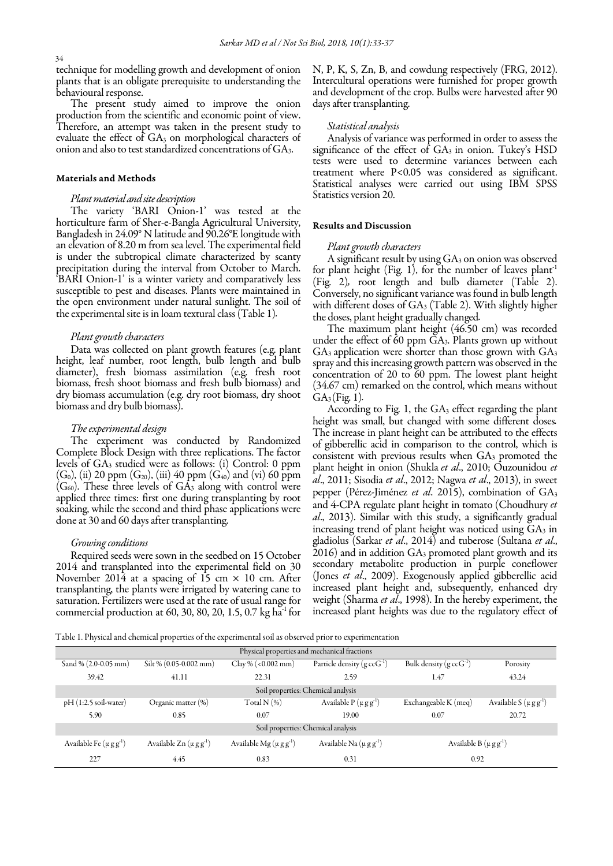technique for modelling growth and development of onion plants that is an obligate prerequisite to understanding the behavioural response.

The present study aimed to improve the onion production from the scientific and economic point of view. Therefore, an attempt was taken in the present study to evaluate the effect of  $GA_3$  on morphological characters of onion and also to test standardized concentrations of GA3.

## Materials and Methods

## *Plant material and site description*

The variety 'BARI Onion-1' was tested at the Bangladesh in 24.09° N latitude and 90.26°E longitude with an elevation of 8.20 m from sea level. The experimental field is under the subtropical climate characterized by scanty precipitation during the interval from October to March. 'BARI Onion-1' is a winter variety and comparatively less susceptible to pest and diseases. Plants were maintained in the open environment under natural sunlight. The soil of the experimental site is in loam textural class (Table 1)*.*

## *Plant growth characters*

Data was collected on plant growth features (e.g. plant<br>height, leaf number, root length, bulb length and bulb diameter), fresh biomass assimilation (e.g. fresh root biomass, fresh shoot biomass and fresh bulb biomass) and dry biomass accumulation (e.g. dry root biomass, dry shoot biomass and dry bulb biomass).

#### *The experimental design*

The experiment was conducted by Randomized Complete Block Design with three replications. The factor levels of GA3 studied were as follows: (i) Control: 0 ppm  $(G_0)$ , (ii) 20 ppm  $(G_{20})$ , (iii) 40 ppm  $(G_{40})$  and (vi) 60 ppm  $(G<sub>60</sub>)$ . These three levels of  $GA<sub>3</sub>$  along with control were applied three times: first one during transplanting by root soaking, while the second and third phase applications were done at 30 and 60 days after transplanting.

#### *Growing conditions*

Required seeds were sown in the seedbed on 15 October 2014 and transplanted into the experimental field on 30 November 2014 at a spacing of 15 cm  $\times$  10 cm. After transplanting, the plants were irrigated by watering cane to saturation. Fertilizers were used at the rate of usual range for commercial production at 60, 30, 80, 20, 1.5, 0.7 kg ha $^{-1}$  for

N, P, K, S, Zn, B, and cowdung respectively (FRG, 2012). Intercultural operations were furnished for proper growth and development of the crop. Bulbs were harvested after 90 days after transplanting.

## *Statistical analysis*

Analysis of variance was performed in order to assess the significance of the effect of GA3 in onion. Tukey's HSD tests were used to determine variances between each<br>treatment where P<0.05 was considered as significant. Statistical analyses were carried out using IBM SPSS Statistics version 20.

#### Results and Discussion

#### *Plant growth characters*

A significant result by using GA<sub>3</sub> on onion was observed for plant height (Fig. 1), for the number of leaves plant<sup>1</sup> (Fig. 2)*,* root length and bulb diameter (Table 2). Conversely, no significant variance was found in bulb length with different doses of GA<sub>3</sub> (Table 2). With slightly higher the doses, plant height gradually changed*.*

The maximum plant height (46.50 cm) was recorded under the effect of 60 ppm GA3. Plants grown up without  $GA_3$  application were shorter than those grown with  $GA_3$ spray and this increasing growth pattern was observed in the concentration of 20 to 60 ppm. The lowest plant height (34.67 cm) remarked on the control, which means without  $GA_3$ (Fig. 1).

According to Fig. 1, the GA<sub>3</sub> effect regarding the plant height was small, but changed with some different doses*.*  The increase in plant height can be attributed to the effects of gibberellic acid in comparison to the control, which is consistent with previous results when GA3 promoted the plant height in onion (Shukla *et al*., 2010; Ouzounidou *et al*., 2011; Sisodia *et al*., 2012; Nagwa *et al*., 2013), in sweet pepper (Pérez-Jiménez *et al*. 2015), combination of GA3 and 4-CPA regulate plant height in tomato (Choudhury *et al*., 2013). Similar with this study, a significantly gradual increasing trend of plant height was noticed using  $GA_3$  in gladiolus (Sarkar *et al*., 2014) and tuberose (Sultana *et al*.,  $2016$ ) and in addition  $GA_3$  promoted plant growth and its secondary metabolite production in purple coneflower (Jones *et al*., 2009). Exogenously applied gibberellic acid increased plant height and, subsequently, enhanced dry weight (Sharma *et al*., 1998). In the hereby experiment, the increased plant heights was due to the regulatory effect of

Table 1. Physical and chemical properties of the experimental soil as observed prior to experimentation

| Physical properties and mechanical fractions |                              |                               |                                      |                                  |                              |  |  |  |
|----------------------------------------------|------------------------------|-------------------------------|--------------------------------------|----------------------------------|------------------------------|--|--|--|
| Sand % (2.0-0.05 mm)                         | Silt % (0.05-0.002 mm)       | Clay % (< $0.002$ mm)         | Particle density $(g \, c c G^{-1})$ | Bulk density $(g \, c c G^{-1})$ | Porosity                     |  |  |  |
| 39.42                                        | 41.11                        | 22.31                         | 2.59                                 | 1.47                             | 43.24                        |  |  |  |
| Soil properties: Chemical analysis           |                              |                               |                                      |                                  |                              |  |  |  |
| $pH(1:2.5)$ soil-water)                      | Organic matter $(\%)$        | Total N $(%)$                 | Available $P(\mu g g^{-1})$          | Exchangeable $K$ (meq)           | Available S $(\mu g g^{-1})$ |  |  |  |
| 5.90                                         | 0.85                         | 0.07                          | 19.00                                | 0.07                             | 20.72                        |  |  |  |
| Soil properties: Chemical analysis           |                              |                               |                                      |                                  |                              |  |  |  |
| Available Fe $(\mu g g^{-1})$                | Available $Zn(\mu g g^{-1})$ | Available Mg $(\mu g g^{-1})$ | Available Na $(\mu g g^{-1})$        | Available B $(\mu g g^{-1})$     |                              |  |  |  |
| 227                                          | 4.45                         | 0.83                          | 0.31                                 | 0.92                             |                              |  |  |  |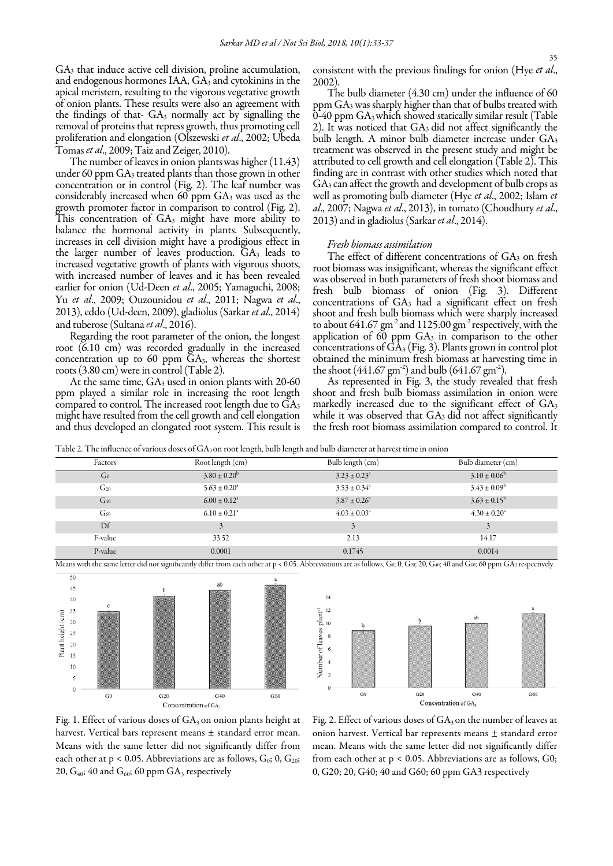GA3 that induce active cell division, proline accumulation, and endogenous hormones  $IAA$ ,  $GA_3$  and cytokinins in the apical meristem, resulting to the vigorous vegetative growth of onion plants. These results were also an agreement with the findings of that- GA<sub>3</sub> normally act by signalling the removal of proteins that repress growth, thus promoting cell proliferation and elongation (Olszewski *et al*., 2002; Ubeda Tomas *et al.*, 2009; Taiz and Zeiger, 2010).

The number of leaves in onion plants was higher (11.43) under 60 ppm GA<sub>3</sub> treated plants than those grown in other concentration or in control (Fig. 2). The leaf number was considerably increased when 60 ppm GA3 was used as the growth promoter factor in comparison to control (Fig. 2). This concentration of GA3 might have more ability to balance the hormonal activity in plants. Subsequently, increases in cell division might have a prodigious effect in the larger number of leaves production.  $GA<sub>3</sub>$  leads to increased vegetative growth of plants with vigorous shoots, with increased number of leaves and it has been revealed earlier for onion (Ud-Deen *et al*., 2005; Yamaguchi, 2008; Yu *et al*., 2009; Ouzounidou *et al*., 2011; Nagwa *et al*., 2013), eddo (Ud-deen, 2009), gladiolus (Sarkar *et al*., 2014) and tuberose (Sultana*et al*., 2016).

Regarding the root parameter of the onion, the longest root (6.10 cm) was recorded gradually in the increased concentration up to 60 ppm  $GA_3$ , whereas the shortest roots  $(3.80 \text{ cm})$  were in control (Table 2).

At the same time,  $GA_3$  used in onion plants with 20-60 ppm played a similar role in increasing the root length compared to control. The increased root length due to GA3 might have resulted from the cell growth and cell elongation and thus developed an elongated root system. This result is consistent with the previous findings for onion (Hye *et al*., 2002).

The bulb diameter (4.30 cm) under the influence of 60 ppm GA3 was sharply higher than that of bulbs treated with  $0-40$  ppm  $GA_3$  which showed statically similar result (Table 2). It was noticed that GA3 did not affect significantly the bulb length. A minor bulb diameter increase under GA3 treatment was observed in the present study and might be attributed to cell growth and cell elongation (Table 2). This finding are in contrast with other studies which noted that GA3 can affect the growth and development of bulb crops as well as promoting bulb diameter (Hye *et al*., 2002; Islam *et al*., 2007; Nagwa *et al*., 2013), in tomato (Choudhury *et al*., 2013)and in gladiolus (Sarkar *et al*., 2014).

## *Fresh biomass assimilation*

The effect of different concentrations of  $GA_3$  on fresh root biomass was insignificant, whereas the significant effect was observed in both parameters of fresh shoot biomass and fresh bulb biomass of onion (Fig. 3). Different concentrations of GA3 had a significant effect on fresh shoot and fresh bulb biomass which were sharply increased to about 641.67 gm<sup>-2</sup> and 1125.00 gm<sup>-2</sup> respectively, with the application of 60 ppm  $GA_3$  in comparison to the other concentrations of  $\bar{GA}_3$  (Fig. 3). Plants grown in control plot obtained the minimum fresh biomass at harvesting time in the shoot  $(441.67 \text{ gm}^2)$  and bulb  $(641.67 \text{ gm}^2)$ .

As represented in Fig. 3, the study revealed that fresh shoot and fresh bulb biomass assimilation in onion were markedly increased due to the significant effect of GA3 while it was observed that  $GA_3$  did not affect significantly the fresh root biomass assimilation compared to control. It

Table 2. The influence of various doses of GA3 on root length, bulb length and bulb diameter at harvest time in onion

| Factors         | Root length (cm)             | Bulb length (cm)             | Bulb diameter (cm)      |  |  |  |
|-----------------|------------------------------|------------------------------|-------------------------|--|--|--|
| G <sub>0</sub>  | $3.80 \pm 0.20^b$            | $3.23 \pm 0.23^{\circ}$      | $3.10 \pm 0.06^b$       |  |  |  |
| G <sub>20</sub> | $5.63 \pm 0.20^a$            | $3.53 \pm 0.34^{\circ}$      | $3.43 \pm 0.09^{\rm b}$ |  |  |  |
| $G_{40}$        | $6.00 \pm 0.12^{\circ}$      | $3.87 \pm 0.26$ <sup>a</sup> | $3.63 \pm 0.15^{\rm b}$ |  |  |  |
| G60             | $6.10 \pm 0.21$ <sup>a</sup> | $4.03 \pm 0.03^{\circ}$      | $4.30 \pm 0.20^{\circ}$ |  |  |  |
| Df              |                              |                              |                         |  |  |  |
| F-value         | 33.52                        | 2.13                         | 14.17                   |  |  |  |
| P-value         | 0.0001                       | 0.1745                       | 0.0014                  |  |  |  |







Fig. 1. Effect of various doses of GA<sub>3</sub> on onion plants height at harvest. Vertical bars represent means ± standard error mean. Means with the same letter did not significantly differ from each other at  $p < 0.05$ . Abbreviations are as follows,  $G_0$ ; 0,  $G_{20}$ ; 20,  $G_{40}$ ; 40 and  $G_{60}$ ; 60 ppm  $GA_3$  respectively

Fig. 2. Effect of various doses of  $GA_3$  on the number of leaves at onion harvest. Vertical bar represents means ± standard error mean. Means with the same letter did not significantly differ from each other at p < 0.05. Abbreviations are as follows, G0; 0, G20; 20, G40; 40 and G60; 60 ppm GA3 respectively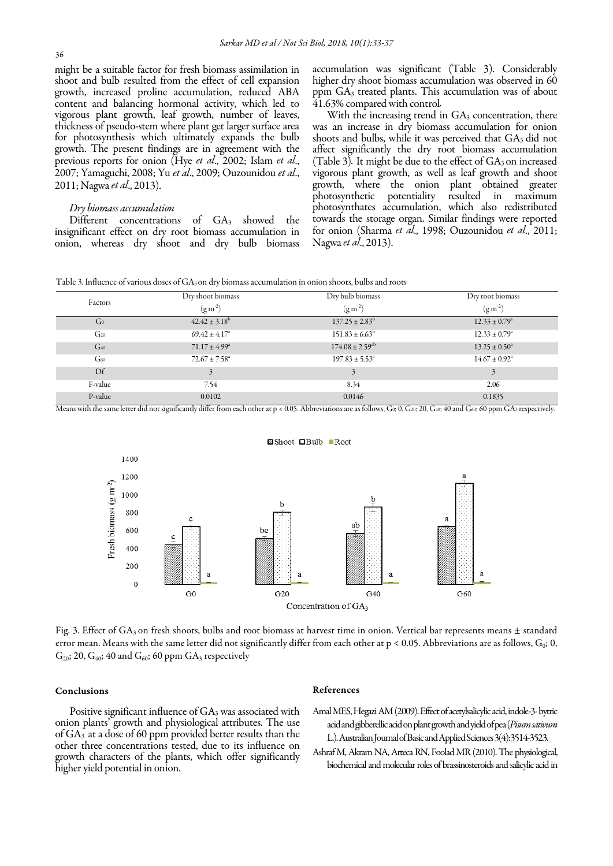might be a suitable factor for fresh biomass assimilation in shoot and bulb resulted from the effect of cell expansion growth, increased proline accumulation, reduced ABA content and balancing hormonal activity, which led to vigorous plant growth, leaf growth, number of leaves, thickness of pseudo-stem where plant get larger surface area for photosynthesis which ultimately expands the bulb growth. The present findings are in agreement with the previous reports for onion (Hye *et al*., 2002; Islam *et al*., 2007; Yamaguchi, 2008; Yu *et al*., 2009; Ouzounidou *et al*., 2011; Nagwa*et al*., 2013).

#### *Dry biomass accumulation*

Different concentrations of GA<sub>3</sub> showed the insignificant effect on dry root biomass accumulation in onion, whereas dry shoot and dry bulb biomass accumulation was significant (Table 3). Considerably higher dry shoot biomass accumulation was observed in 60 ppm GA3 treated plants. This accumulation was of about 41.63% compared with control*.*

With the increasing trend in  $GA_3$  concentration, there was an increase in dry biomass accumulation for onion shoots and bulbs, while it was perceived that  $GA_3$  did not affect significantly the dry root biomass accumulation (Table 3). It might be due to the effect of GA<sub>3</sub> on increased vigorous plant growth, as well as leaf growth and shoot growth, where the onion plant obtained greater photosynthetic potentiality photosynthates accumulation, which also redistributed towards the storage organ. Similar findings were reported for onion (Sharma *et al*., 1998; Ouzounidou *et al*., 2011; Nagwa*et al*., 2013).

Table 3. Influence of various doses of GA<sub>3</sub> on dry biomass accumulation in onion shoots, bulbs and roots

| Factors         | Dry shoot biomass<br>$(g m^{-2})$ | Dry bulb biomass<br>$(g m^2)$   | Dry root biomass<br>$(g m^2)$ |
|-----------------|-----------------------------------|---------------------------------|-------------------------------|
| $\rm Ga$        | $42.42 \pm 3.18^b$                | $137.25 \pm 2.83^{\rm b}$       | $12.33 \pm 0.79^{\circ}$      |
| G <sub>20</sub> | $69.42 \pm 4.17^{\circ}$          | $151.83 \pm 6.63^{\rm b}$       | $12.33 \pm 0.79^{\circ}$      |
| $G_{40}$        | $71.17 \pm 4.99^{\circ}$          | $174.08 \pm 2.59$ <sup>ab</sup> | $13.25 \pm 0.50^{\circ}$      |
| G <sub>60</sub> | $72.67 \pm 7.58$ <sup>a</sup>     | $197.83 \pm 5.53^{\circ}$       | $14.67 \pm 0.92$ <sup>a</sup> |
| Df              |                                   | 3                               |                               |
| F-value         | 7.54                              | 8.34                            | 2.06                          |
| P-value         | 0.0102                            | 0.0146                          | 0.1835                        |

Means with the same letter did not significantly differ from each other at p < 0.05. Abbreviations are as follows, G0; 0, G20; 20, G40; 40 and G60; 60 ppm GA3 respectively.





Fig. 3. Effect of GA<sub>3</sub> on fresh shoots, bulbs and root biomass at harvest time in onion. Vertical bar represents means  $\pm$  standard error mean. Means with the same letter did not significantly differ from each other at  $p < 0.05$ . Abbreviations are as follows,  $G_0$ ; 0,  $G<sub>20</sub>$ ; 20,  $G<sub>40</sub>$ ; 40 and  $G<sub>60</sub>$ ; 60 ppm  $GA<sub>3</sub>$  respectively

# Conclusions

Positive significant influence of GA<sub>3</sub> was associated with onion plants' growth and physiological attributes. The use of GA3 at a dose of 60 ppm provided better results than the other three concentrations tested, due to its influence on growth characters of the plants, which offer significantly higher yield potential in onion.

## References

- Amal MES, Hegazi AM (2009). Effect of acetylsalicylic acid, indole-3-bytric acid and gibberellic acid on plant growth and yield of pea (*Pisum sativum* L.). Australian Journal of Basic and Applied Sciences 3(4):3514-3523.
- Ashraf M, Akram NA, ArtecaRN, Foolad MR (2010). The physiological, biochemical and molecular roles of brassinosteroids and salicylic acid in